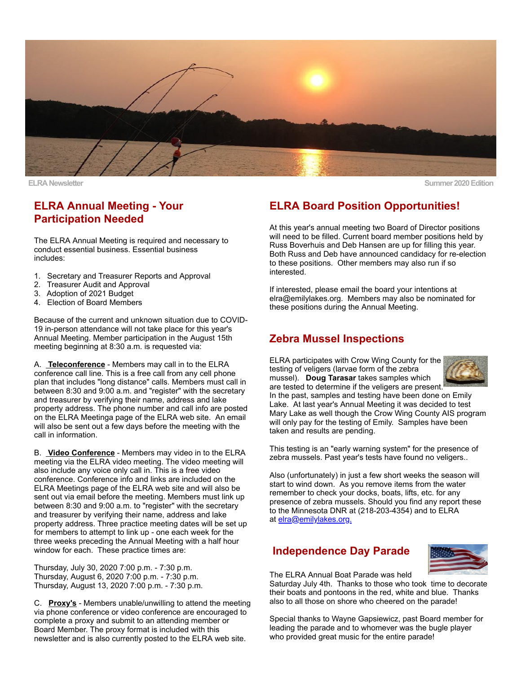

**ELRA Newsletter Summer 2020 Edition**

# **ELRA Annual Meeting - Your Participation Needed**

The ELRA Annual Meeting is required and necessary to conduct essential business. Essential business includes:

- 1. Secretary and Treasurer Reports and Approval
- 2. Treasurer Audit and Approval
- 3. Adoption of 2021 Budget
- 4. Election of Board Members

Because of the current and unknown situation due to COVID-19 in-person attendance will not take place for this year's Annual Meeting. Member participation in the August 15th meeting beginning at 8:30 a.m. is requested via:

A. **Teleconference** - Members may call in to the ELRA conference call line. This is a free call from any cell phone plan that includes "long distance" calls. Members must call in between 8:30 and 9:00 a.m. and "register" with the secretary and treasurer by verifying their name, address and lake property address. The phone number and call info are posted on the ELRA Meetinga page of the ELRA web site. An email will also be sent out a few days before the meeting with the call in information.

B. **Video Conference** - Members may video in to the ELRA meeting via the ELRA video meeting. The video meeting will also include any voice only call in. This is a free video conference. Conference info and links are included on the ELRA Meetings page of the ELRA web site and will also be sent out via email before the meeting. Members must link up between 8:30 and 9:00 a.m. to "register" with the secretary and treasurer by verifying their name, address and lake property address. Three practice meeting dates will be set up for members to attempt to link up - one each week for the three weeks preceding the Annual Meeting with a half hour window for each. These practice times are:

Thursday, July 30, 2020 7:00 p.m. - 7:30 p.m. Thursday, August 6, 2020 7:00 p.m. - 7:30 p.m. Thursday, August 13, 2020 7:00 p.m. - 7:30 p.m.

C. **Proxy's** - Members unable/unwilling to attend the meeting via phone conference or video conference are encouraged to complete a proxy and submit to an attending member or Board Member. The proxy format is included with this newsletter and is also currently posted to the ELRA web site.

# **ELRA Board Position Opportunities!**

At this year's annual meeting two Board of Director positions will need to be filled. Current board member positions held by Russ Boverhuis and Deb Hansen are up for filling this year. Both Russ and Deb have announced candidacy for re-election to these positions. Other members may also run if so interested.

If interested, please email the board your intentions at elra@emilylakes.org. Members may also be nominated for these positions during the Annual Meeting.

#### **Zebra Mussel Inspections**

ELRA participates with Crow Wing County for the testing of veligers (larvae form of the zebra mussel). **Doug Tarasar** takes samples which



are tested to determine if the veligers are present. In the past, samples and testing have been done on Emily Lake. At last year's Annual Meeting it was decided to test Mary Lake as well though the Crow Wing County AIS program will only pay for the testing of Emily. Samples have been taken and results are pending.

This testing is an "early warning system" for the presence of zebra mussels. Past year's tests have found no veligers..

Also (unfortunately) in just a few short weeks the season will start to wind down. As you remove items from the water remember to check your docks, boats, lifts, etc. for any presence of zebra mussels. Should you find any report these to the Minnesota DNR at (218-203-4354) and to ELRA at [elra@emilylakes.org.](mailto:elra@emilylakes.org)

# **Independence Day Parade**



The ELRA Annual Boat Parade was held

Saturday July 4th. Thanks to those who took time to decorate their boats and pontoons in the red, white and blue. Thanks also to all those on shore who cheered on the parade!

Special thanks to Wayne Gapsiewicz, past Board member for leading the parade and to whomever was the bugle player who provided great music for the entire parade!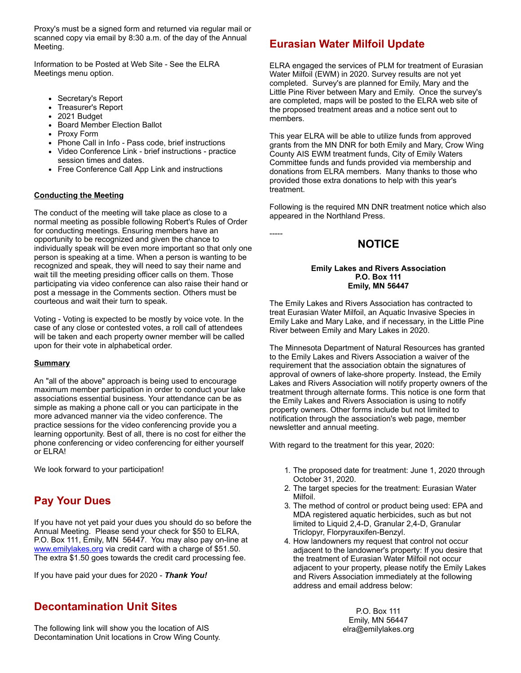Proxy's must be a signed form and returned via regular mail or scanned copy via email by 8:30 a.m. of the day of the Annual Meeting.

Information to be Posted at Web Site - See the ELRA Meetings menu option.

- Secretary's Report
- Treasurer's Report
- 2021 Budget
- Board Member Election Ballot
- Proxy Form
- Phone Call in Info Pass code, brief instructions
- Video Conference Link brief instructions practice session times and dates.
- Free Conference Call App Link and instructions

#### **Conducting the Meeting**

The conduct of the meeting will take place as close to a normal meeting as possible following Robert's Rules of Order for conducting meetings. Ensuring members have an opportunity to be recognized and given the chance to individually speak will be even more important so that only one person is speaking at a time. When a person is wanting to be recognized and speak, they will need to say their name and wait till the meeting presiding officer calls on them. Those participating via video conference can also raise their hand or post a message in the Comments section. Others must be courteous and wait their turn to speak.

Voting - Voting is expected to be mostly by voice vote. In the case of any close or contested votes, a roll call of attendees will be taken and each property owner member will be called upon for their vote in alphabetical order.

#### **Summary**

An "all of the above" approach is being used to encourage maximum member participation in order to conduct your lake associations essential business. Your attendance can be as simple as making a phone call or you can participate in the more advanced manner via the video conference. The practice sessions for the video conferencing provide you a learning opportunity. Best of all, there is no cost for either the phone conferencing or video conferencing for either yourself or ELRA!

We look forward to your participation!

# **Pay Your Dues**

If you have not yet paid your dues you should do so before the Annual Meeting. Please send your check for \$50 to ELRA, P.O. Box 111, Emily, MN 56447. You may also pay on-line at [www.emilylakes.org](http://www.emilylakes.org/) via credit card with a charge of \$51.50. The extra \$1.50 goes towards the credit card processing fee.

If you have paid your dues for 2020 - *Thank You!*

# **Decontamination Unit Sites**

The following link will show you the location of AIS Decontamination Unit locations in Crow Wing County.

# **Eurasian Water Milfoil Update**

ELRA engaged the services of PLM for treatment of Eurasian Water Milfoil (EWM) in 2020. Survey results are not yet completed. Survey's are planned for Emily, Mary and the Little Pine River between Mary and Emily. Once the survey's are completed, maps will be posted to the ELRA web site of the proposed treatment areas and a notice sent out to members.

This year ELRA will be able to utilize funds from approved grants from the MN DNR for both Emily and Mary, Crow Wing County AIS EWM treatment funds, City of Emily Waters Committee funds and funds provided via membership and donations from ELRA members. Many thanks to those who provided those extra donations to help with this year's treatment.

Following is the required MN DNR treatment notice which also appeared in the Northland Press.

#### **NOTICE**

-----

#### **Emily Lakes and Rivers Association P.O. Box 111 Emily, MN 56447**

The Emily Lakes and Rivers Association has contracted to treat Eurasian Water Milfoil, an Aquatic Invasive Species in Emily Lake and Mary Lake, and if necessary, in the Little Pine River between Emily and Mary Lakes in 2020.

The Minnesota Department of Natural Resources has granted to the Emily Lakes and Rivers Association a waiver of the requirement that the association obtain the signatures of approval of owners of lake-shore property. Instead, the Emily Lakes and Rivers Association will notify property owners of the treatment through alternate forms. This notice is one form that the Emily Lakes and Rivers Association is using to notify property owners. Other forms include but not limited to notification through the association's web page, member newsletter and annual meeting.

With regard to the treatment for this year, 2020:

- 1. The proposed date for treatment: June 1, 2020 through October 31, 2020.
- 2. The target species for the treatment: Eurasian Water Milfoil.
- 3. The method of control or product being used: EPA and MDA registered aquatic herbicides, such as but not limited to Liquid 2,4-D, Granular 2,4-D, Granular Triclopyr, Florpyrauxifen-Benzyl.
- 4. How landowners my request that control not occur adjacent to the landowner's property: If you desire that the treatment of Eurasian Water Milfoil not occur adjacent to your property, please notify the Emily Lakes and Rivers Association immediately at the following address and email address below:

P.O. Box 111 Emily, MN 56447 elra@emilylakes.org